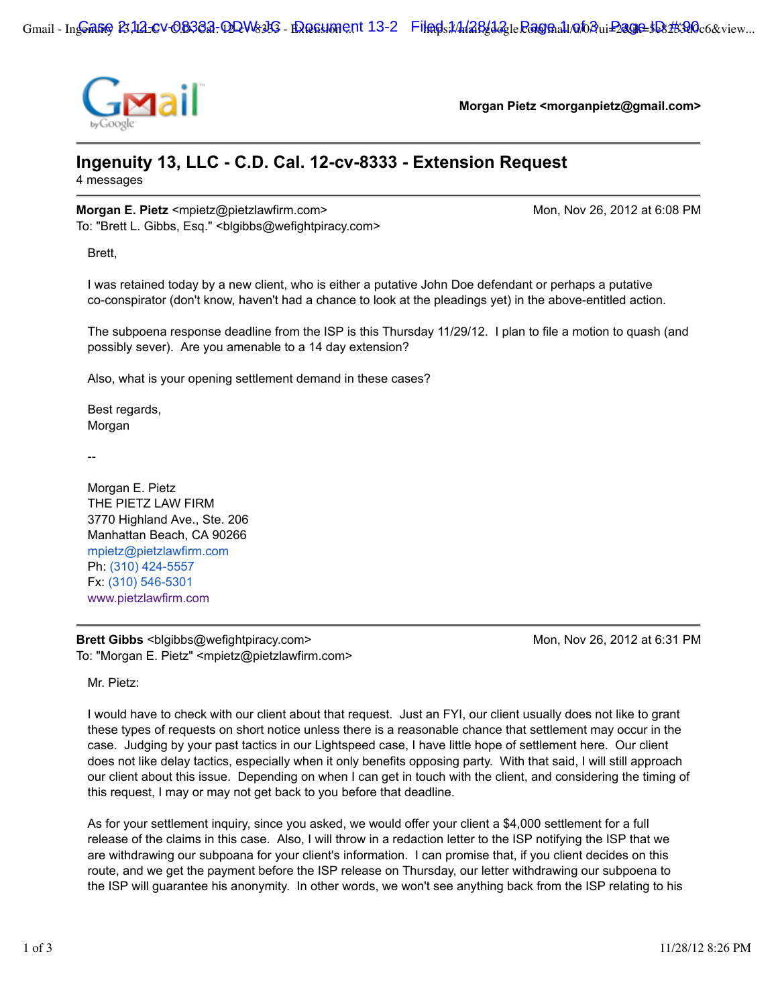

**Morgan Pietz <morganpietz@gmail.com>**

## **Ingenuity 13, LLC - C.D. Cal. 12-cv-8333 - Extension Request** 4 messages

## **Morgan E. Pietz** <mpietz@pietzlawfirm.com> Monetation Mon, Nov 26, 2012 at 6:08 PM

To: "Brett L. Gibbs, Esq." <br/>blgibbs@wefightpiracy.com>

Brett,

I was retained today by a new client, who is either a putative John Doe defendant or perhaps a putative co-conspirator (don't know, haven't had a chance to look at the pleadings yet) in the above-entitled action.

The subpoena response deadline from the ISP is this Thursday 11/29/12. I plan to file a motion to quash (and possibly sever). Are you amenable to a 14 day extension?

Also, what is your opening settlement demand in these cases?

Best regards, Morgan

--

Morgan E. Pietz THE PIETZ LAW FIRM 3770 Highland Ave., Ste. 206 Manhattan Beach, CA 90266 mpietz@pietzlawfirm.com Ph: (310) 424-5557 Fx: (310) 546-5301 www.pietzlawfirm.com

**Brett Gibbs** <blgibbs@wefightpiracy.com> Mon, Nov 26, 2012 at 6:31 PM To: "Morgan E. Pietz" <mpietz@pietzlawfirm.com>

Mr. Pietz:

I would have to check with our client about that request. Just an FYI, our client usually does not like to grant these types of requests on short notice unless there is a reasonable chance that settlement may occur in the case. Judging by your past tactics in our Lightspeed case, I have little hope of settlement here. Our client does not like delay tactics, especially when it only benefits opposing party. With that said, I will still approach our client about this issue. Depending on when I can get in touch with the client, and considering the timing of this request, I may or may not get back to you before that deadline.

As for your settlement inquiry, since you asked, we would offer your client a \$4,000 settlement for a full release of the claims in this case. Also, I will throw in a redaction letter to the ISP notifying the ISP that we are withdrawing our subpoana for your client's information. I can promise that, if you client decides on this route, and we get the payment before the ISP release on Thursday, our letter withdrawing our subpoena to the ISP will guarantee his anonymity. In other words, we won't see anything back from the ISP relating to his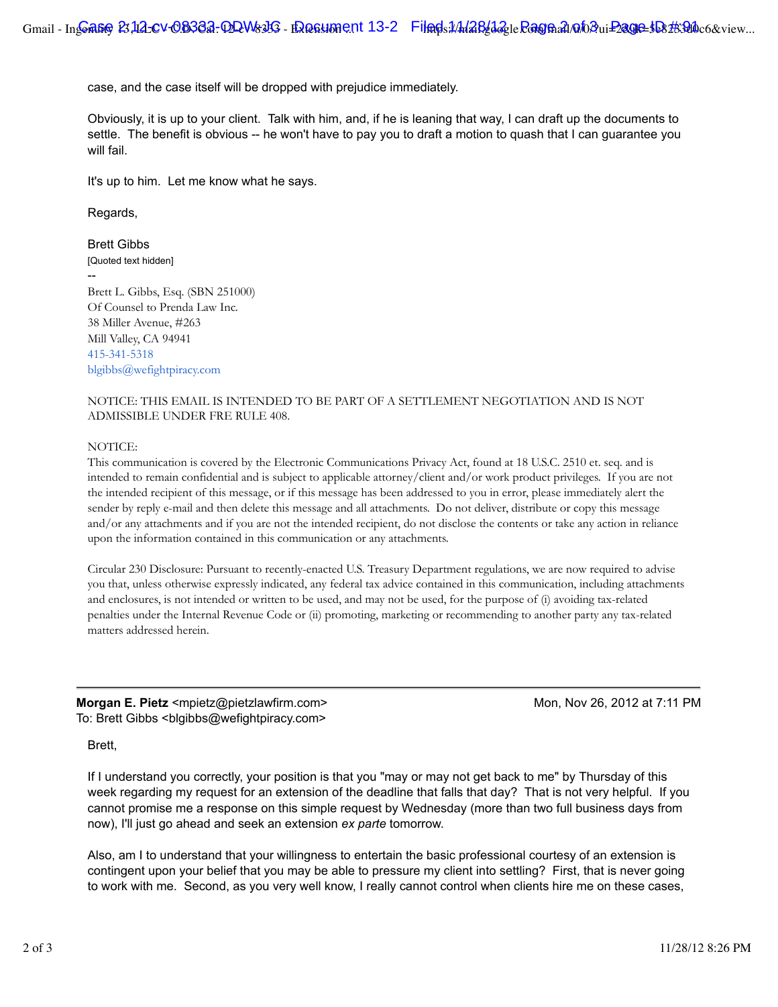case, and the case itself will be dropped with prejudice immediately.

Obviously, it is up to your client. Talk with him, and, if he is leaning that way, I can draft up the documents to settle. The benefit is obvious -- he won't have to pay you to draft a motion to quash that I can guarantee you will fail.

It's up to him. Let me know what he says.

Regards,

Brett Gibbs [Quoted text hidden] -- Brett L. Gibbs, Esq. (SBN 251000) Of Counsel to Prenda Law Inc. 38 Miller Avenue, #263 Mill Valley, CA 94941 415-341-5318 blgibbs@wefightpiracy.com

## NOTICE: THIS EMAIL IS INTENDED TO BE PART OF A SETTLEMENT NEGOTIATION AND IS NOT ADMISSIBLE UNDER FRE RULE 408.

## NOTICE:

This communication is covered by the Electronic Communications Privacy Act, found at 18 U.S.C. 2510 et. seq. and is intended to remain confidential and is subject to applicable attorney/client and/or work product privileges. If you are not the intended recipient of this message, or if this message has been addressed to you in error, please immediately alert the sender by reply e-mail and then delete this message and all attachments. Do not deliver, distribute or copy this message and/or any attachments and if you are not the intended recipient, do not disclose the contents or take any action in reliance upon the information contained in this communication or any attachments.

Circular 230 Disclosure: Pursuant to recently-enacted U.S. Treasury Department regulations, we are now required to advise you that, unless otherwise expressly indicated, any federal tax advice contained in this communication, including attachments and enclosures, is not intended or written to be used, and may not be used, for the purpose of (i) avoiding tax-related penalties under the Internal Revenue Code or (ii) promoting, marketing or recommending to another party any tax-related matters addressed herein.

**Morgan E. Pietz** <mpietz@pietzlawfirm.com> Monetation Mon, Nov 26, 2012 at 7:11 PM To: Brett Gibbs <br/>blgibbs@wefightpiracy.com>

Brett,

If I understand you correctly, your position is that you "may or may not get back to me" by Thursday of this week regarding my request for an extension of the deadline that falls that day? That is not very helpful. If you cannot promise me a response on this simple request by Wednesday (more than two full business days from now), I'll just go ahead and seek an extension *ex parte* tomorrow.

Also, am I to understand that your willingness to entertain the basic professional courtesy of an extension is contingent upon your belief that you may be able to pressure my client into settling? First, that is never going to work with me. Second, as you very well know, I really cannot control when clients hire me on these cases,